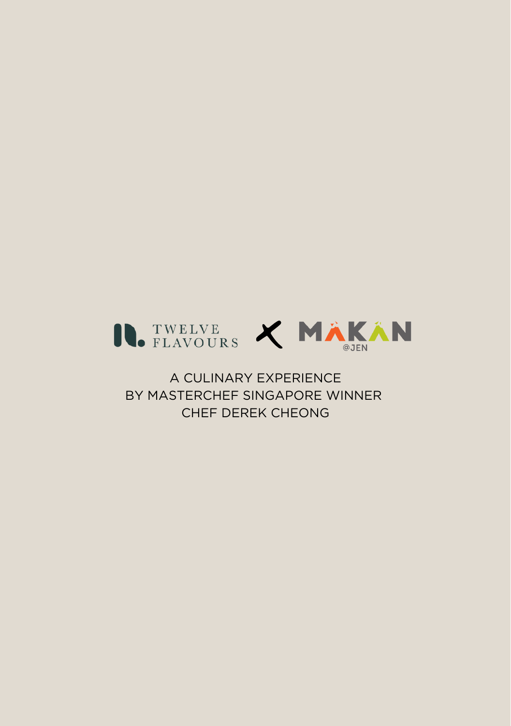

A CULINARY EXPERIENCE BY MASTERCHEF SINGAPORE WINNER CHEF DEREK CHEONG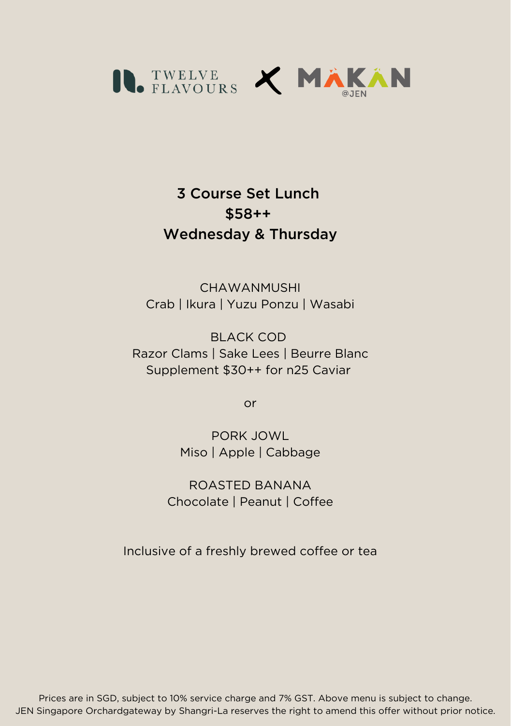

## 3 Course Set Lunch \$58++ Wednesday & Thursday

**CHAWANMUSHI** Crab | Ikura | Yuzu Ponzu | Wasabi

BLACK COD Razor Clams | Sake Lees | Beurre Blanc Supplement \$30++ for n25 Caviar

or

PORK JOWL Miso | Apple | Cabbage

ROASTED BANANA Chocolate | Peanut | Coffee

Inclusive of a freshly brewed coffee or tea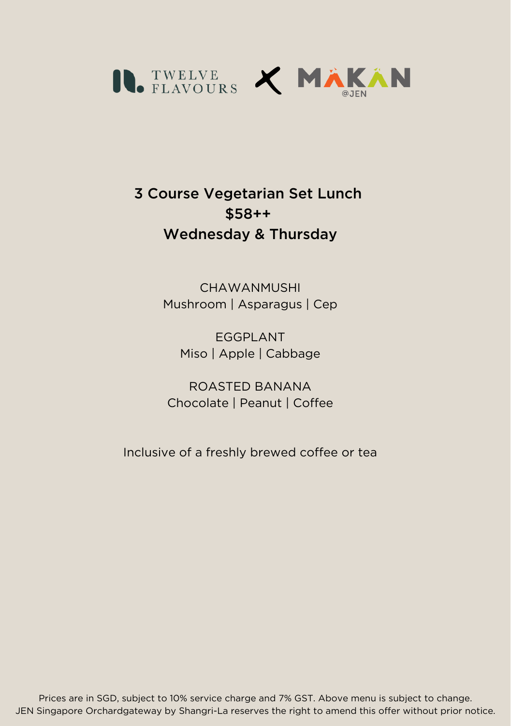

## 3 Course Vegetarian Set Lunch \$58++ Wednesday & Thursday

**CHAWANMUSHI** Mushroom | Asparagus | Cep

EGGPLANT Miso | Apple | Cabbage

ROASTED BANANA Chocolate | Peanut | Coffee

Inclusive of a freshly brewed coffee or tea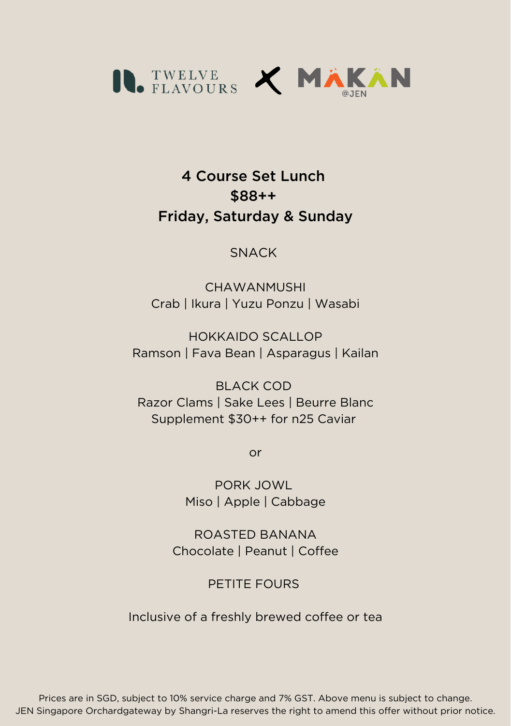

## 4 Course Set Lunch \$88++ Friday, Saturday & Sunday

#### **SNACK**

**CHAWANMUSHI** Crab | Ikura | Yuzu Ponzu | Wasabi

HOKKAIDO SCALLOP Ramson | Fava Bean | Asparagus | Kailan

BLACK COD Razor Clams | Sake Lees | Beurre Blanc Supplement \$30++ for n25 Caviar

or

PORK JOWL Miso | Apple | Cabbage

ROASTED BANANA Chocolate | Peanut | Coffee

PETITE FOURS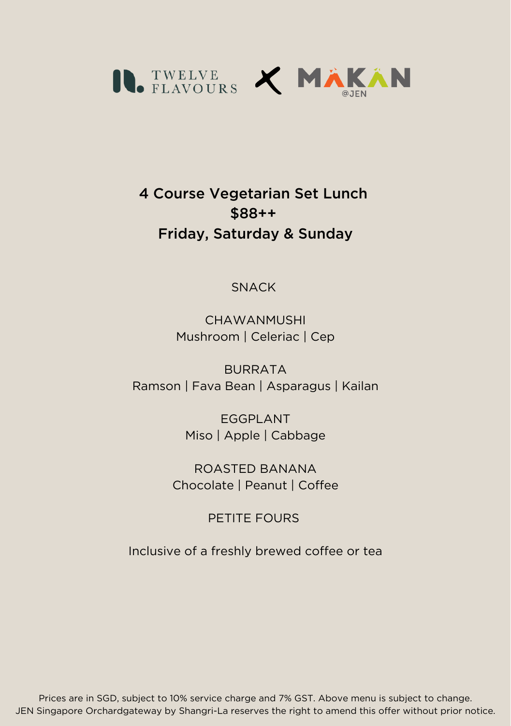

# 4 Course Vegetarian Set Lunch \$88++ Friday, Saturday & Sunday

#### SNACK

CHAWANMUSHI Mushroom | Celeriac | Cep

**BURRATA** Ramson | Fava Bean | Asparagus | Kailan

> EGGPLANT Miso | Apple | Cabbage

ROASTED BANANA Chocolate | Peanut | Coffee

### PETITE FOURS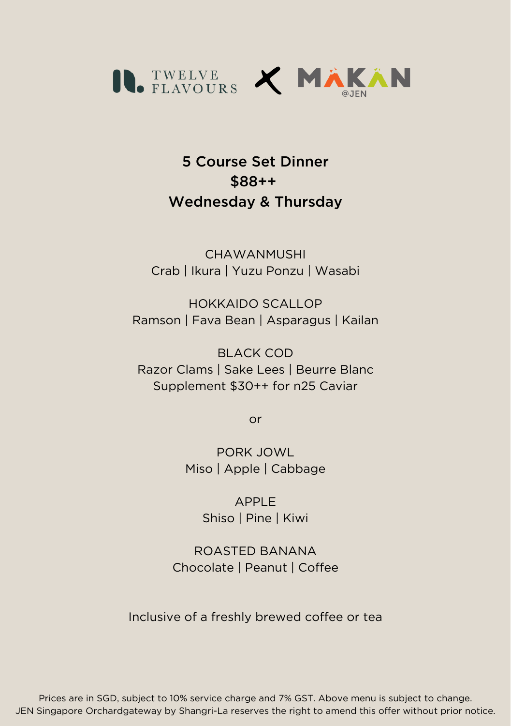

5 Course Set Dinner \$88++ Wednesday & Thursday

**CHAWANMUSHI** Crab | Ikura | Yuzu Ponzu | Wasabi

HOKKAIDO SCALLOP Ramson | Fava Bean | Asparagus | Kailan

BLACK COD Razor Clams | Sake Lees | Beurre Blanc Supplement \$30++ for n25 Caviar

or

PORK JOWL Miso | Apple | Cabbage

> APPLE Shiso | Pine | Kiwi

ROASTED BANANA Chocolate | Peanut | Coffee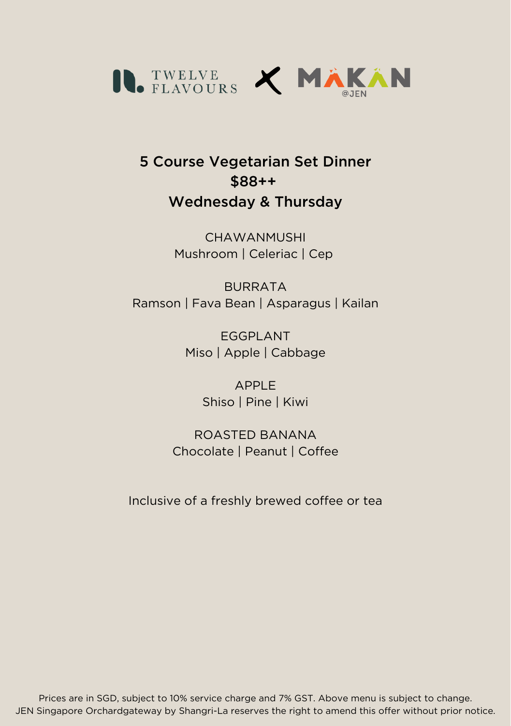

### 5 Course Vegetarian Set Dinner \$88++ Wednesday & Thursday

**CHAWANMUSHI** Mushroom | Celeriac | Cep

BURRATA Ramson | Fava Bean | Asparagus | Kailan

> EGGPLANT Miso | Apple | Cabbage

> > APPLE Shiso | Pine | Kiwi

ROASTED BANANA Chocolate | Peanut | Coffee

Inclusive of a freshly brewed coffee or tea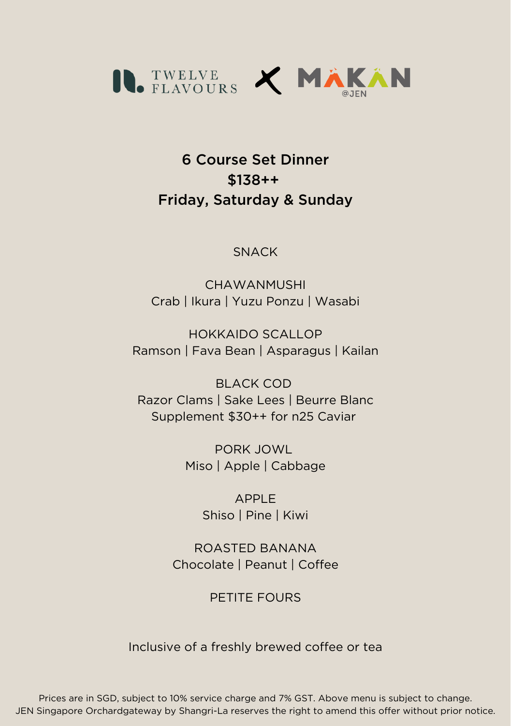

## 6 Course Set Dinner \$138++ Friday, Saturday & Sunday

#### **SNACK**

**CHAWANMUSHI** Crab | Ikura | Yuzu Ponzu | Wasabi

HOKKAIDO SCALLOP Ramson | Fava Bean | Asparagus | Kailan

BLACK COD Razor Clams | Sake Lees | Beurre Blanc Supplement \$30++ for n25 Caviar

> PORK JOWL Miso | Apple | Cabbage

> > APPLE Shiso | Pine | Kiwi

ROASTED BANANA Chocolate | Peanut | Coffee

PETITE FOURS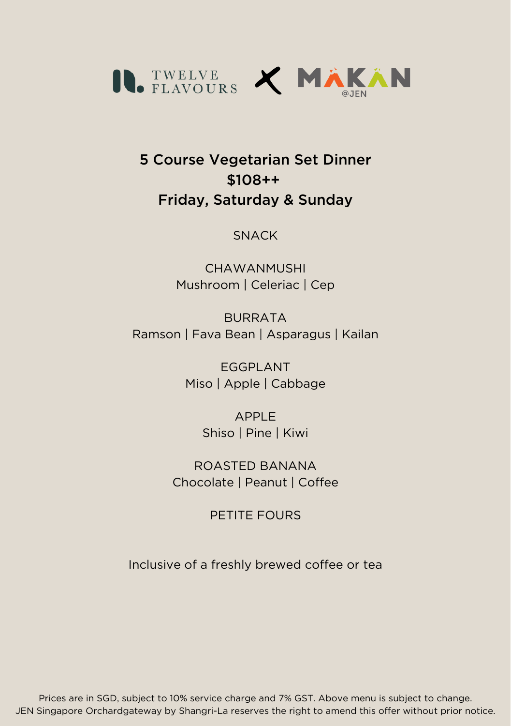

## 5 Course Vegetarian Set Dinner \$108++ Friday, Saturday & Sunday

#### **SNACK**

CHAWANMUSHI Mushroom | Celeriac | Cep

BURRATA Ramson | Fava Bean | Asparagus | Kailan

> EGGPLANT Miso | Apple | Cabbage

> > APPLE Shiso | Pine | Kiwi

ROASTED BANANA Chocolate | Peanut | Coffee

PETITE FOURS

Inclusive of a freshly brewed coffee or tea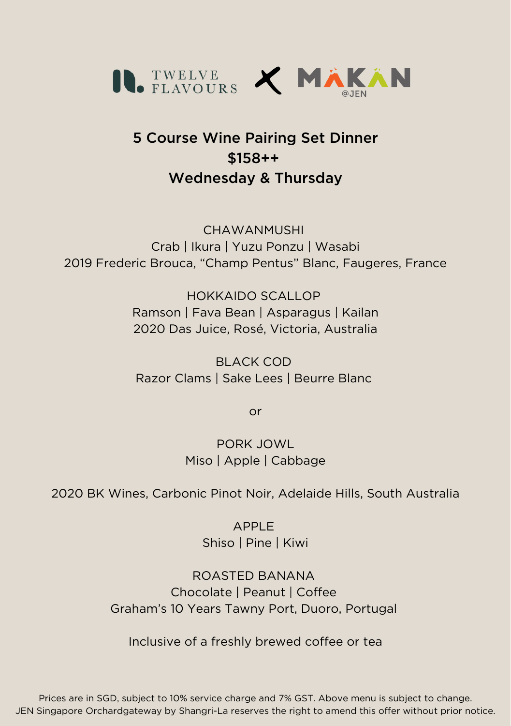

# 5 Course Wine Pairing Set Dinner \$158++ Wednesday & Thursday

**CHAWANMUSHI** Crab | Ikura | Yuzu Ponzu | Wasabi 2019 Frederic Brouca, "Champ Pentus" Blanc, Faugeres, France

> HOKKAIDO SCALLOP Ramson | Fava Bean | Asparagus | Kailan 2020 Das Juice, Rosé, Victoria, Australia

BLACK COD Razor Clams | Sake Lees | Beurre Blanc

or

PORK JOWL Miso | Apple | Cabbage

2020 BK Wines, Carbonic Pinot Noir, Adelaide Hills, South Australia

APPLE Shiso | Pine | Kiwi

ROASTED BANANA Chocolate | Peanut | Coffee Graham's 10 Years Tawny Port, Duoro, Portugal

Inclusive of a freshly brewed coffee or tea